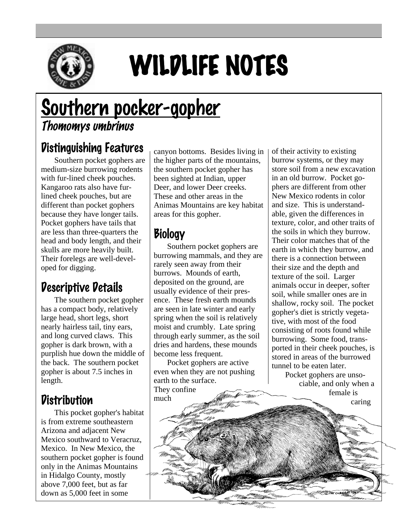

# WILDLIFE NOTES

# Southern pocker-gopher Thomomys umbrinus

#### Distinguishing Features

Southern pocket gophers are medium-size burrowing rodents with fur-lined cheek pouches. Kangaroo rats also have furlined cheek pouches, but are different than pocket gophers because they have longer tails. Pocket gophers have tails that are less than three-quarters the head and body length, and their skulls are more heavily built. Their forelegs are well-developed for digging.

## Descriptive Details

The southern pocket gopher has a compact body, relatively large head, short legs, short nearly hairless tail, tiny ears, and long curved claws. This gopher is dark brown, with a purplish hue down the middle of the back. The southern pocket gopher is about 7.5 inches in length.

#### **Distribution**

This pocket gopher's habitat is from extreme southeastern Arizona and adjacent New Mexico southward to Veracruz, Mexico. In New Mexico, the southern pocket gopher is found only in the Animas Mountains in Hidalgo County, mostly above 7,000 feet, but as far down as 5,000 feet in some

canyon bottoms. Besides living in the higher parts of the mountains, the southern pocket gopher has been sighted at Indian, upper Deer, and lower Deer creeks. These and other areas in the Animas Mountains are key habitat areas for this gopher.

## Biology

Southern pocket gophers are burrowing mammals, and they are rarely seen away from their burrows. Mounds of earth, deposited on the ground, are usually evidence of their presence. These fresh earth mounds are seen in late winter and early spring when the soil is relatively moist and crumbly. Late spring through early summer, as the soil dries and hardens, these mounds become less frequent.

Pocket gophers are active even when they are not pushing earth to the surface. They confine much

of their activity to existing burrow systems, or they may store soil from a new excavation in an old burrow. Pocket gophers are different from other New Mexico rodents in color and size. This is understandable, given the differences in texture, color, and other traits of the soils in which they burrow. Their color matches that of the earth in which they burrow, and there is a connection between their size and the depth and texture of the soil. Larger animals occur in deeper, softer soil, while smaller ones are in shallow, rocky soil. The pocket gopher's diet is strictly vegetative, with most of the food consisting of roots found while burrowing. Some food, transported in their cheek pouches, is stored in areas of the burrowed tunnel to be eaten later.

Pocket gophers are unsociable, and only when a female is caring